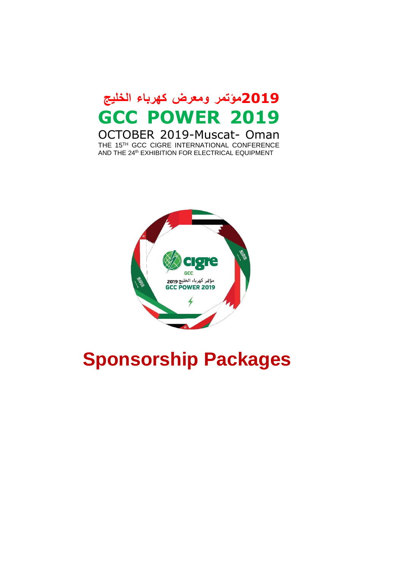# **2019مؤتمر ومعرض كهرباء الخليج GCC POWER 2019**

OCTOBER 2019-Muscat- Oman THE 15TH GCC CIGRE INTERNATIONAL CONFERENCE AND THE 24<sup>th</sup> EXHIBITION FOR ELECTRICAL EQUIPMENT



# **Sponsorship Packages**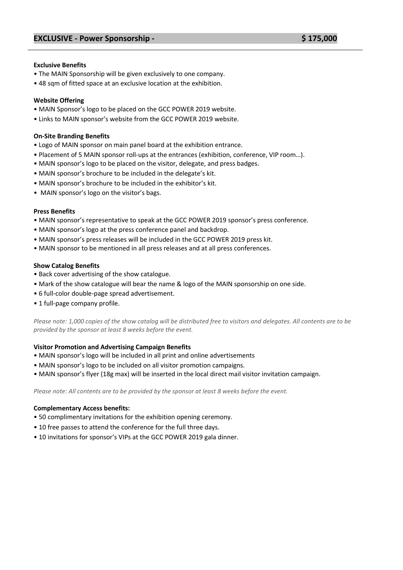#### **Exclusive Benefits**

- The MAIN Sponsorship will be given exclusively to one company.
- 48 sqm of fitted space at an exclusive location at the exhibition.

#### **Website Offering**

- MAIN Sponsor's logo to be placed on the GCC POWER 2019 website.
- Links to MAIN sponsor's website from the GCC POWER 2019 website.

#### **On-Site Branding Benefits**

- Logo of MAIN sponsor on main panel board at the exhibition entrance.
- Placement of 5 MAIN sponsor roll-ups at the entrances (exhibition, conference, VIP room…).
- MAIN sponsor's logo to be placed on the visitor, delegate, and press badges.
- MAIN sponsor's brochure to be included in the delegate's kit.
- MAIN sponsor's brochure to be included in the exhibitor's kit.
- MAIN sponsor's logo on the visitor's bags.

#### **Press Benefits**

- MAIN sponsor's representative to speak at the GCC POWER 2019 sponsor's press conference.
- MAIN sponsor's logo at the press conference panel and backdrop.
- MAIN sponsor's press releases will be included in the GCC POWER 2019 press kit.
- MAIN sponsor to be mentioned in all press releases and at all press conferences.

#### **Show Catalog Benefits**

- Back cover advertising of the show catalogue.
- Mark of the show catalogue will bear the name & logo of the MAIN sponsorship on one side.
- 6 full-color double-page spread advertisement.
- 1 full-page company profile.

*Please note: 1,000 copies of the show catalog will be distributed free to visitors and delegates. All contents are to be provided by the sponsor at least 8 weeks before the event.*

#### **Visitor Promotion and Advertising Campaign Benefits**

- MAIN sponsor's logo will be included in all print and online advertisements
- MAIN sponsor's logo to be included on all visitor promotion campaigns.
- MAIN sponsor's flyer (18g max) will be inserted in the local direct mail visitor invitation campaign.

*Please note: All contents are to be provided by the sponsor at least 8 weeks before the event.*

- 50 complimentary invitations for the exhibition opening ceremony.
- 10 free passes to attend the conference for the full three days.
- 10 invitations for sponsor's VIPs at the GCC POWER 2019 gala dinner.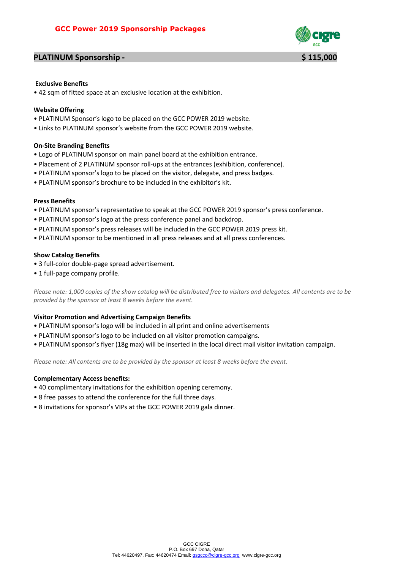# **PLATINUM Sponsorship - \$ 115,000** \$ 115,000



#### **Exclusive Benefits**

• 42 sqm of fitted space at an exclusive location at the exhibition.

#### **Website Offering**

- PLATINUM Sponsor's logo to be placed on the GCC POWER 2019 website.
- Links to PLATINUM sponsor's website from the GCC POWER 2019 website.

#### **On-Site Branding Benefits**

- Logo of PLATINUM sponsor on main panel board at the exhibition entrance.
- Placement of 2 PLATINUM sponsor roll-ups at the entrances (exhibition, conference).
- PLATINUM sponsor's logo to be placed on the visitor, delegate, and press badges.
- PLATINUM sponsor's brochure to be included in the exhibitor's kit.

#### **Press Benefits**

- PLATINUM sponsor's representative to speak at the GCC POWER 2019 sponsor's press conference.
- PLATINUM sponsor's logo at the press conference panel and backdrop.
- PLATINUM sponsor's press releases will be included in the GCC POWER 2019 press kit.
- PLATINUM sponsor to be mentioned in all press releases and at all press conferences.

#### **Show Catalog Benefits**

- 3 full-color double-page spread advertisement.
- 1 full-page company profile.

*Please note: 1,000 copies of the show catalog will be distributed free to visitors and delegates. All contents are to be provided by the sponsor at least 8 weeks before the event.*

#### **Visitor Promotion and Advertising Campaign Benefits**

- PLATINUM sponsor's logo will be included in all print and online advertisements
- PLATINUM sponsor's logo to be included on all visitor promotion campaigns.
- PLATINUM sponsor's flyer (18g max) will be inserted in the local direct mail visitor invitation campaign.

*Please note: All contents are to be provided by the sponsor at least 8 weeks before the event.*

- 40 complimentary invitations for the exhibition opening ceremony.
- 8 free passes to attend the conference for the full three days.
- 8 invitations for sponsor's VIPs at the GCC POWER 2019 gala dinner.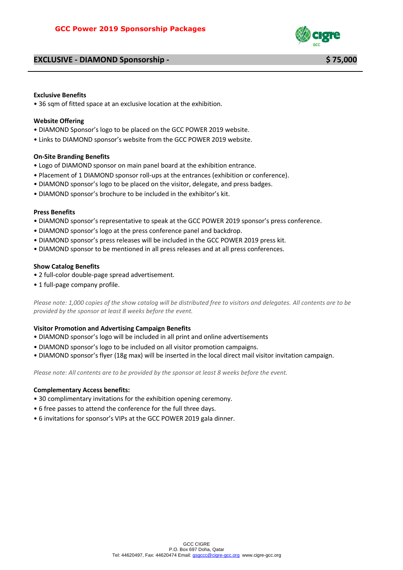## **EXCLUSIVE - DIAMOND Sponsorship - \$ 75,000**



#### **Exclusive Benefits**

• 36 sqm of fitted space at an exclusive location at the exhibition.

#### **Website Offering**

- DIAMOND Sponsor's logo to be placed on the GCC POWER 2019 website.
- Links to DIAMOND sponsor's website from the GCC POWER 2019 website.

#### **On-Site Branding Benefits**

- Logo of DIAMOND sponsor on main panel board at the exhibition entrance.
- Placement of 1 DIAMOND sponsor roll-ups at the entrances (exhibition or conference).
- DIAMOND sponsor's logo to be placed on the visitor, delegate, and press badges.
- DIAMOND sponsor's brochure to be included in the exhibitor's kit.

#### **Press Benefits**

- DIAMOND sponsor's representative to speak at the GCC POWER 2019 sponsor's press conference.
- DIAMOND sponsor's logo at the press conference panel and backdrop.
- DIAMOND sponsor's press releases will be included in the GCC POWER 2019 press kit.
- DIAMOND sponsor to be mentioned in all press releases and at all press conferences.

### **Show Catalog Benefits**

- 2 full-color double-page spread advertisement.
- 1 full-page company profile.

*Please note: 1,000 copies of the show catalog will be distributed free to visitors and delegates. All contents are to be provided by the sponsor at least 8 weeks before the event.*

#### **Visitor Promotion and Advertising Campaign Benefits**

- DIAMOND sponsor's logo will be included in all print and online advertisements
- DIAMOND sponsor's logo to be included on all visitor promotion campaigns.
- DIAMOND sponsor's flyer (18g max) will be inserted in the local direct mail visitor invitation campaign.

*Please note: All contents are to be provided by the sponsor at least 8 weeks before the event.*

- 30 complimentary invitations for the exhibition opening ceremony.
- 6 free passes to attend the conference for the full three days.
- 6 invitations for sponsor's VIPs at the GCC POWER 2019 gala dinner.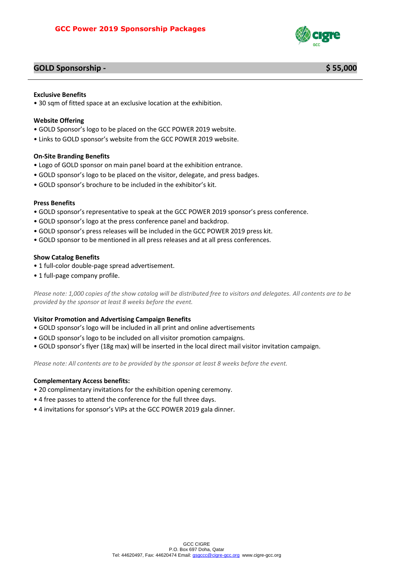

## **GOLD Sponsorship - \$ 55,000**

### **Exclusive Benefits**

• 30 sqm of fitted space at an exclusive location at the exhibition.

#### **Website Offering**

- GOLD Sponsor's logo to be placed on the GCC POWER 2019 website.
- Links to GOLD sponsor's website from the GCC POWER 2019 website.

#### **On-Site Branding Benefits**

- Logo of GOLD sponsor on main panel board at the exhibition entrance.
- GOLD sponsor's logo to be placed on the visitor, delegate, and press badges.
- GOLD sponsor's brochure to be included in the exhibitor's kit.

#### **Press Benefits**

- GOLD sponsor's representative to speak at the GCC POWER 2019 sponsor's press conference.
- GOLD sponsor's logo at the press conference panel and backdrop.
- GOLD sponsor's press releases will be included in the GCC POWER 2019 press kit.
- GOLD sponsor to be mentioned in all press releases and at all press conferences.

### **Show Catalog Benefits**

- 1 full-color double-page spread advertisement.
- 1 full-page company profile.

*Please note: 1,000 copies of the show catalog will be distributed free to visitors and delegates. All contents are to be provided by the sponsor at least 8 weeks before the event.*

#### **Visitor Promotion and Advertising Campaign Benefits**

- GOLD sponsor's logo will be included in all print and online advertisements
- GOLD sponsor's logo to be included on all visitor promotion campaigns.
- GOLD sponsor's flyer (18g max) will be inserted in the local direct mail visitor invitation campaign.

*Please note: All contents are to be provided by the sponsor at least 8 weeks before the event.*

- 20 complimentary invitations for the exhibition opening ceremony.
- 4 free passes to attend the conference for the full three days.
- 4 invitations for sponsor's VIPs at the GCC POWER 2019 gala dinner.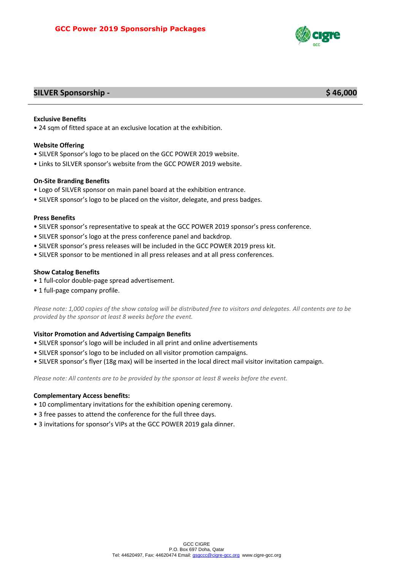

# **SILVER Sponsorship - \$ 46,000**

#### **Exclusive Benefits**

• 24 sqm of fitted space at an exclusive location at the exhibition.

#### **Website Offering**

- SILVER Sponsor's logo to be placed on the GCC POWER 2019 website.
- Links to SILVER sponsor's website from the GCC POWER 2019 website.

#### **On-Site Branding Benefits**

- Logo of SILVER sponsor on main panel board at the exhibition entrance.
- SILVER sponsor's logo to be placed on the visitor, delegate, and press badges.

#### **Press Benefits**

- SILVER sponsor's representative to speak at the GCC POWER 2019 sponsor's press conference.
- SILVER sponsor's logo at the press conference panel and backdrop.
- SILVER sponsor's press releases will be included in the GCC POWER 2019 press kit.
- SILVER sponsor to be mentioned in all press releases and at all press conferences.

### **Show Catalog Benefits**

- 1 full-color double-page spread advertisement.
- 1 full-page company profile.

*Please note: 1,000 copies of the show catalog will be distributed free to visitors and delegates. All contents are to be provided by the sponsor at least 8 weeks before the event.*

### **Visitor Promotion and Advertising Campaign Benefits**

- SILVER sponsor's logo will be included in all print and online advertisements
- SILVER sponsor's logo to be included on all visitor promotion campaigns.
- SILVER sponsor's flyer (18g max) will be inserted in the local direct mail visitor invitation campaign.

*Please note: All contents are to be provided by the sponsor at least 8 weeks before the event.*

- 10 complimentary invitations for the exhibition opening ceremony.
- 3 free passes to attend the conference for the full three days.
- 3 invitations for sponsor's VIPs at the GCC POWER 2019 gala dinner.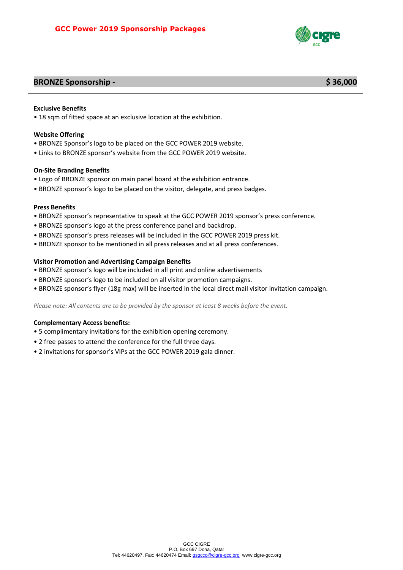

# **BRONZE Sponsorship - \$ 36,000**

### **Exclusive Benefits**

• 18 sqm of fitted space at an exclusive location at the exhibition.

#### **Website Offering**

- BRONZE Sponsor's logo to be placed on the GCC POWER 2019 website.
- Links to BRONZE sponsor's website from the GCC POWER 2019 website.

### **On-Site Branding Benefits**

- Logo of BRONZE sponsor on main panel board at the exhibition entrance.
- BRONZE sponsor's logo to be placed on the visitor, delegate, and press badges.

#### **Press Benefits**

- BRONZE sponsor's representative to speak at the GCC POWER 2019 sponsor's press conference.
- BRONZE sponsor's logo at the press conference panel and backdrop.
- BRONZE sponsor's press releases will be included in the GCC POWER 2019 press kit.
- BRONZE sponsor to be mentioned in all press releases and at all press conferences.

### **Visitor Promotion and Advertising Campaign Benefits**

- BRONZE sponsor's logo will be included in all print and online advertisements
- BRONZE sponsor's logo to be included on all visitor promotion campaigns.
- BRONZE sponsor's flyer (18g max) will be inserted in the local direct mail visitor invitation campaign.

*Please note: All contents are to be provided by the sponsor at least 8 weeks before the event.*

- 5 complimentary invitations for the exhibition opening ceremony.
- 2 free passes to attend the conference for the full three days.
- 2 invitations for sponsor's VIPs at the GCC POWER 2019 gala dinner.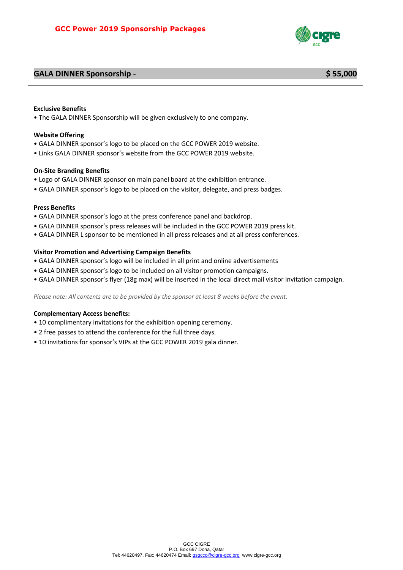# **GALA DINNER Sponsorship - \$ 55,000**



#### **Exclusive Benefits**

• The GALA DINNER Sponsorship will be given exclusively to one company.

#### **Website Offering**

- GALA DINNER sponsor's logo to be placed on the GCC POWER 2019 website.
- Links GALA DINNER sponsor's website from the GCC POWER 2019 website.

### **On-Site Branding Benefits**

- Logo of GALA DINNER sponsor on main panel board at the exhibition entrance.
- GALA DINNER sponsor's logo to be placed on the visitor, delegate, and press badges.

### **Press Benefits**

- GALA DINNER sponsor's logo at the press conference panel and backdrop.
- GALA DINNER sponsor's press releases will be included in the GCC POWER 2019 press kit.
- GALA DINNER L sponsor to be mentioned in all press releases and at all press conferences.

### **Visitor Promotion and Advertising Campaign Benefits**

- GALA DINNER sponsor's logo will be included in all print and online advertisements
- GALA DINNER sponsor's logo to be included on all visitor promotion campaigns.
- GALA DINNER sponsor's flyer (18g max) will be inserted in the local direct mail visitor invitation campaign.

*Please note: All contents are to be provided by the sponsor at least 8 weeks before the event.*

- 10 complimentary invitations for the exhibition opening ceremony.
- 2 free passes to attend the conference for the full three days.
- 10 invitations for sponsor's VIPs at the GCC POWER 2019 gala dinner.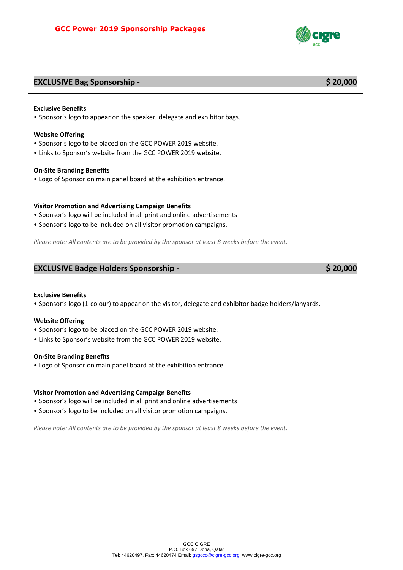# **EXCLUSIVE Bag Sponsorship - \$ 20,000**

#### **Exclusive Benefits**

• Sponsor's logo to appear on the speaker, delegate and exhibitor bags.

#### **Website Offering**

- Sponsor's logo to be placed on the GCC POWER 2019 website.
- Links to Sponsor's website from the GCC POWER 2019 website.

#### **On-Site Branding Benefits**

• Logo of Sponsor on main panel board at the exhibition entrance.

#### **Visitor Promotion and Advertising Campaign Benefits**

- Sponsor's logo will be included in all print and online advertisements
- Sponsor's logo to be included on all visitor promotion campaigns.

*Please note: All contents are to be provided by the sponsor at least 8 weeks before the event.*

### **EXCLUSIVE Badge Holders Sponsorship - \$ 20,000**

#### **Exclusive Benefits**

• Sponsor's logo (1-colour) to appear on the visitor, delegate and exhibitor badge holders/lanyards.

#### **Website Offering**

- Sponsor's logo to be placed on the GCC POWER 2019 website.
- Links to Sponsor's website from the GCC POWER 2019 website.

#### **On-Site Branding Benefits**

• Logo of Sponsor on main panel board at the exhibition entrance.

#### **Visitor Promotion and Advertising Campaign Benefits**

- Sponsor's logo will be included in all print and online advertisements
- Sponsor's logo to be included on all visitor promotion campaigns.

*Please note: All contents are to be provided by the sponsor at least 8 weeks before the event.*

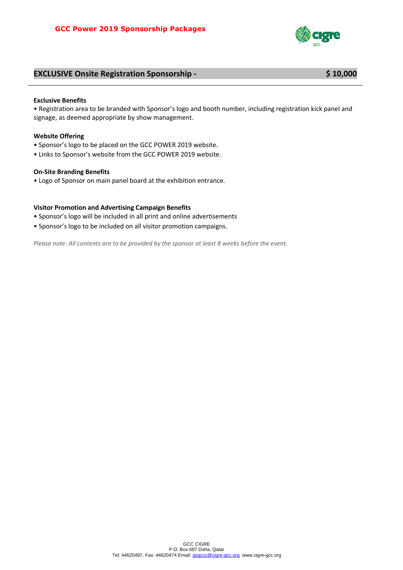

# **EXCLUSIVE Onsite Registration Sponsorship - \$ 10,000**

#### **Exclusive Benefits**

• Registration area to be branded with Sponsor's logo and booth number, including registration kick panel and signage, as deemed appropriate by show management.

#### **Website Offering**

- Sponsor's logo to be placed on the GCC POWER 2019 website.
- Links to Sponsor's website from the GCC POWER 2019 website.

#### **On-Site Branding Benefits**

• Logo of Sponsor on main panel board at the exhibition entrance.

### **Visitor Promotion and Advertising Campaign Benefits**

- Sponsor's logo will be included in all print and online advertisements
- Sponsor's logo to be included on all visitor promotion campaigns.

*Please note: All contents are to be provided by the sponsor at least 8 weeks before the event.*